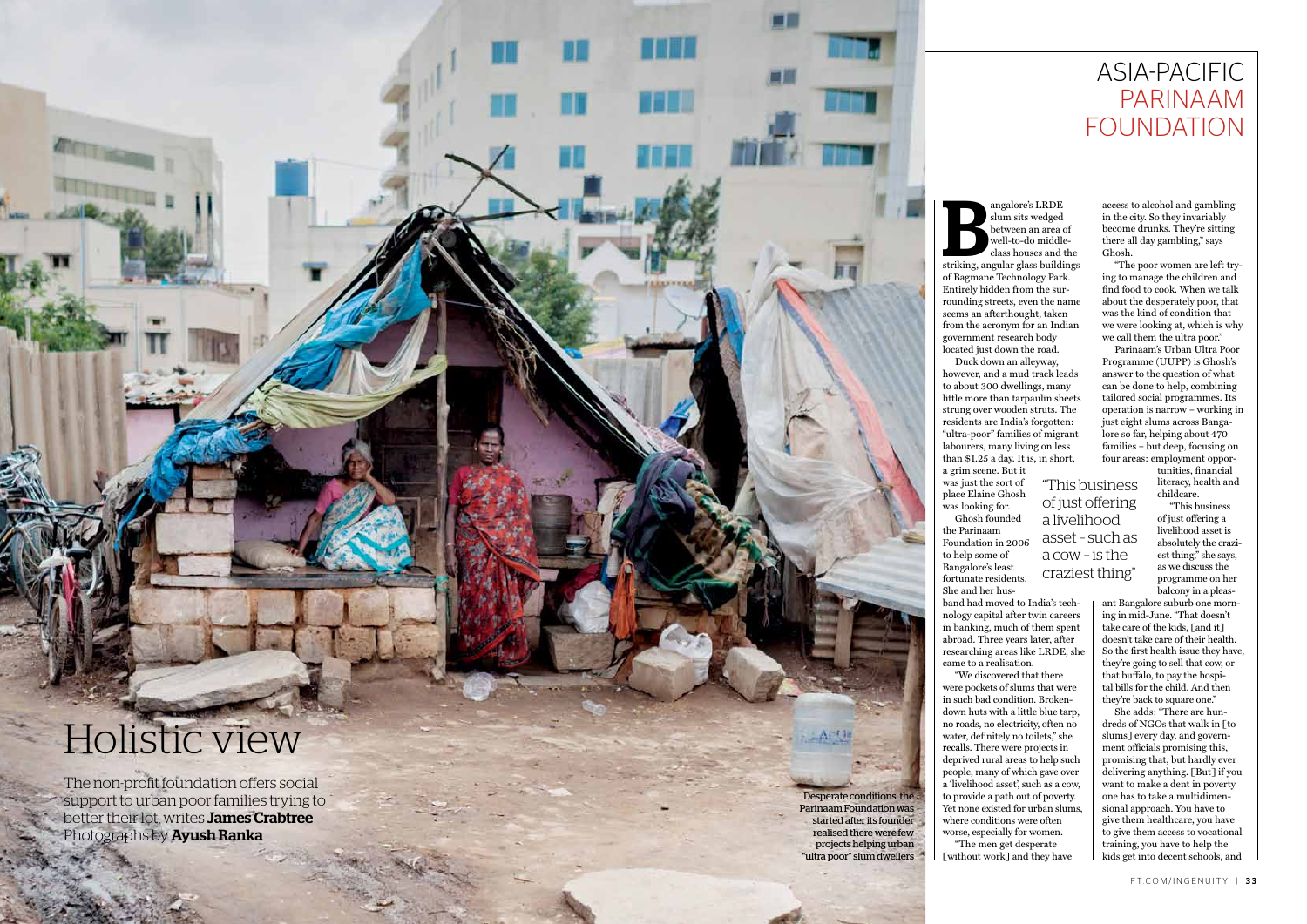credit

T I L

**NOTE** 

angalore's LRDE<br>
slum sits wedged<br>
between an area of<br>
well-to-do middle-<br>
class houses and the<br>
striking, angular glass buildings angalore's LRDE slum sits wedged between an area of well-to-do middleclass houses and the of Bagmane Technology Park. Entirely hidden from the sur rounding streets, even the name seems an afterthought, taken from the acronym for an Indian government research body<br>located just down the road. Duck down an alleyway, however, and a mud track leads to about 300 dwellings, many little more than tarpaulin sheets strung over wooden struts. The residents are India's forgotten: "ultra-poor" families of migrant labourers, many living on less than \$1.25 a day. It is, in short,

a grim scene. But it was just the sort of place Elaine Ghosh was looking for.

Ghosh founded

the Parinaam Foundation in 2006 to help some of Bangalore's least fortunate residents. She and her hus -

## asia-pacific parinaam **FOUNDATION**

band had moved to India's tech nology capital after twin careers in banking, much of them spent abroad. Three years later, after researching areas like LRDE, she came to a realisation.

"We discovered that there were pockets of slums that were in such bad condition. Brokendown huts with a little blue tarp, no roads, no electricity, often no water, definitely no toilets," she recalls. There were projects in deprived rural areas to help such people, many of which gave over a 'livelihood asset', such as a cow, to provide a path out of poverty. Yet none existed for urban slums, where conditions were often<br>worse, especially for women. "The men get desperate [without work] and they have

access to alcohol and gambling in the city. So they invariably become drunks. They're sitting there all day gambling," says Ghosh.

The non-profit foundation offers social support to urban poor families trying to better their lot, writes James Crabtree Photographs by **Ayush Ranka** 

"The poor women are left try ing to manage the children and find food to cook. When we talk about the desperately poor, that was the kind of condition that we were looking at, which is why we call them the ultra poor."

Parinaam's Urban Ultra Poor Programme (UUPP) is Ghosh's answer to the question of what can be done to help, combining tailored social programmes. Its operation is narrow – working in just eight slums across Banga lore so far, helping about 470 families – but deep, focusing on four areas: employment oppor -

> tunities, financial literacy, health and childcare.

"This business of just offering a livelihood asset is absolutely the crazi est thing," she says, as we discuss the programme on her balcony in a pleas -

ant Bangalore suburb one morn ing in mid-June. " That doesn't take care of the kids, [and it] doesn't take care of their health. So the first health issue they have, they're going to sell that cow, or that buffalo, to pay the hospi tal bills for the child. And then they're back to square one."

She adds: " There are hun dreds of NGOs that walk in [to slums] every day, and govern ment officials promising this, promising that, but hardly ever delivering anything. [But] if you want to make a dent in poverty one has to take a multidimen sional approach. You have to give them healthcare, you have to give them access to vocational training, you have to help the kids get into decent schools, and

Desperate conditions: the Parinaam Foundation was started after its founder realised there were few projects helping urban "ultra poor" slum dwellers

## Holistic view

 $x \in \mathbb{R}$  ,  $x \in \mathbb{R}$  ,  $x \in \mathbb{R}$  ,  $x \in \mathbb{R}$  ,  $x \in \mathbb{R}$  ,  $x \in \mathbb{R}$  ,  $x \in \mathbb{R}$  ,  $x \in \mathbb{R}$  ,  $x \in \mathbb{R}$  ,  $x \in \mathbb{R}$  ,  $x \in \mathbb{R}$  ,  $x \in \mathbb{R}$  ,  $x \in \mathbb{R}$  ,  $x \in \mathbb{R}$  ,  $x \in \mathbb{R}$  ,  $x \in \mathbb{R}$ 

"This business of just offering a livelihood asset – such as a cow – is the craziest thing"